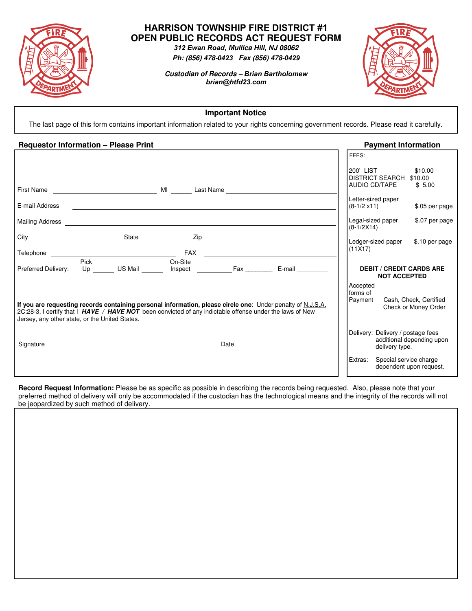

# **HARRISON TOWNSHIP FIRE DISTRICT #1 OPEN PUBLIC RECORDS ACT REQUEST FORM**

*312 Ewan Road, Mullica Hill, NJ 08062 Ph: (856) 478-0423 Fax (856) 478-0429*

*Custodian of Records – Brian Bartholomew brian@htfd23.com*



**Important Notice** 

The last page of this form contains important information related to your rights concerning government records. Please read it carefully.

## **Requestor Information – Please Print** *Payment Information* **<b>Payment Information**

|                                                                                                                                                                                                                               |                                                                                                                                                                                                                                                  |         |                                                                                                                  |      |                                                                                                             | FEES:                                                 |                     |                                                   |  |
|-------------------------------------------------------------------------------------------------------------------------------------------------------------------------------------------------------------------------------|--------------------------------------------------------------------------------------------------------------------------------------------------------------------------------------------------------------------------------------------------|---------|------------------------------------------------------------------------------------------------------------------|------|-------------------------------------------------------------------------------------------------------------|-------------------------------------------------------|---------------------|---------------------------------------------------|--|
|                                                                                                                                                                                                                               |                                                                                                                                                                                                                                                  |         |                                                                                                                  |      |                                                                                                             | 200' LIST<br>DISTRICT SEARCH \$10.00<br>AUDIO CD/TAPE |                     | \$10.00<br>\$5.00                                 |  |
|                                                                                                                                                                                                                               |                                                                                                                                                                                                                                                  |         |                                                                                                                  |      |                                                                                                             |                                                       |                     |                                                   |  |
| E-mail Address                                                                                                                                                                                                                |                                                                                                                                                                                                                                                  |         | and the control of the control of the control of the control of the control of the control of the control of the |      |                                                                                                             | Letter-sized paper<br>$(8-1/2 \times 11)$             |                     | \$.05 per page                                    |  |
|                                                                                                                                                                                                                               |                                                                                                                                                                                                                                                  |         |                                                                                                                  |      |                                                                                                             | Legal-sized paper<br>$(8-1/2X14)$                     |                     | \$.07 per page                                    |  |
|                                                                                                                                                                                                                               |                                                                                                                                                                                                                                                  |         |                                                                                                                  |      |                                                                                                             | Ledger-sized paper                                    |                     | \$.10 per page                                    |  |
|                                                                                                                                                                                                                               |                                                                                                                                                                                                                                                  |         |                                                                                                                  |      |                                                                                                             | (11X17)                                               |                     |                                                   |  |
| Preferred Delivery:                                                                                                                                                                                                           | Pick<br>Up <sub>p</sub> and the set of the set of the set of the set of the set of the set of the set of the set of the set of the set of the set of the set of the set of the set of the set of the set of the set of the set of the set of the | US Mail | On-Site<br>Inspect Fax                                                                                           |      | $E$ -mail $\_\_\_\_\_\_\_\_\_\_\$                                                                           |                                                       | <b>NOT ACCEPTED</b> | <b>DEBIT / CREDIT CARDS ARE</b>                   |  |
| 2C:28-3, I certify that I HAVE / HAVE NOT been convicted of any indictable offense under the laws of New<br>Jersey, any other state, or the United States.                                                                    |                                                                                                                                                                                                                                                  |         |                                                                                                                  |      | If you are requesting records containing personal information, please circle one: Under penalty of N.J.S.A. | Accepted<br>forms of<br>Payment                       |                     | Cash, Check, Certified<br>Check or Money Order    |  |
| Signature Signature Signature Contract of the Contract of the Contract of the Contract of the Contract of the Contract of the Contract of the Contract of the Contract of the Contract of the Contract of the Contract of the |                                                                                                                                                                                                                                                  |         |                                                                                                                  | Date |                                                                                                             | Delivery: Delivery / postage fees                     | delivery type.      | additional depending upon                         |  |
|                                                                                                                                                                                                                               |                                                                                                                                                                                                                                                  |         |                                                                                                                  |      |                                                                                                             | Extras:                                               |                     | Special service charge<br>dependent upon request. |  |

**Record Request Information:** Please be as specific as possible in describing the records being requested. Also, please note that your preferred method of delivery will only be accommodated if the custodian has the technological means and the integrity of the records will not be jeopardized by such method of delivery.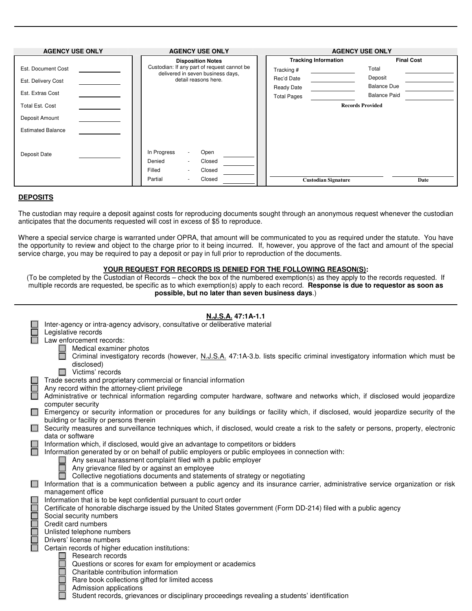| <b>AGENCY USE ONLY</b>   | <b>AGENCY USE ONLY</b>                                                           | <b>AGENCY USE ONLY</b>      |                         |  |  |
|--------------------------|----------------------------------------------------------------------------------|-----------------------------|-------------------------|--|--|
|                          | <b>Disposition Notes</b>                                                         | <b>Tracking Information</b> | <b>Final Cost</b>       |  |  |
| Est. Document Cost       | Custodian: If any part of request cannot be<br>delivered in seven business days, | Tracking #                  | Total                   |  |  |
| Est. Delivery Cost       | detail reasons here.                                                             | Rec'd Date                  | Deposit                 |  |  |
|                          |                                                                                  | <b>Ready Date</b>           | <b>Balance Due</b>      |  |  |
| Est. Extras Cost         |                                                                                  | <b>Total Pages</b>          | <b>Balance Paid</b>     |  |  |
| Total Est. Cost          |                                                                                  |                             | <b>Records Provided</b> |  |  |
| Deposit Amount           |                                                                                  |                             |                         |  |  |
| <b>Estimated Balance</b> |                                                                                  |                             |                         |  |  |
|                          |                                                                                  |                             |                         |  |  |
| Deposit Date             | In Progress<br>Open                                                              |                             |                         |  |  |
|                          | Denied<br>Closed<br>$\sim$                                                       |                             |                         |  |  |
|                          | Filled<br>Closed<br>٠                                                            |                             |                         |  |  |
|                          | Partial<br>Closed<br>$\sim$                                                      | <b>Custodian Signature</b>  | Date                    |  |  |

### **DEPOSITS**

The custodian may require a deposit against costs for reproducing documents sought through an anonymous request whenever the custodian anticipates that the documents requested will cost in excess of \$5 to reproduce.

Where a special service charge is warranted under OPRA, that amount will be communicated to you as required under the statute. You have the opportunity to review and object to the charge prior to it being incurred. If, however, you approve of the fact and amount of the special service charge, you may be required to pay a deposit or pay in full prior to reproduction of the documents.

## **YOUR REQUEST FOR RECORDS IS DENIED FOR THE FOLLOWING REASON(S):**

(To be completed by the Custodian of Records – check the box of the numbered exemption(s) as they apply to the records requested. If multiple records are requested, be specific as to which exemption(s) apply to each record. **Response is due to requestor as soon as possible, but no later than seven business days**.)

|        | Inter-agency or intra-agency advisory, consultative or deliberative material                                                                                                            |
|--------|-----------------------------------------------------------------------------------------------------------------------------------------------------------------------------------------|
|        | Legislative records                                                                                                                                                                     |
|        | Law enforcement records:                                                                                                                                                                |
|        | Medical examiner photos                                                                                                                                                                 |
|        | Criminal investigatory records (however, N.J.S.A. 47:1A-3.b. lists specific criminal investigatory information which must be                                                            |
|        | disclosed)                                                                                                                                                                              |
|        | Victims' records<br>П                                                                                                                                                                   |
|        | Trade secrets and proprietary commercial or financial information                                                                                                                       |
|        | Any record within the attorney-client privilege                                                                                                                                         |
|        | Administrative or technical information regarding computer hardware, software and networks which, if disclosed would jeopardize                                                         |
|        | computer security                                                                                                                                                                       |
|        | Emergency or security information or procedures for any buildings or facility which, if disclosed, would jeopardize security of the                                                     |
|        | building or facility or persons therein                                                                                                                                                 |
| $\Box$ | Security measures and surveillance techniques which, if disclosed, would create a risk to the safety or persons, property, electronic                                                   |
|        | data or software                                                                                                                                                                        |
|        |                                                                                                                                                                                         |
|        | Information which, if disclosed, would give an advantage to competitors or bidders<br>Information generated by or on behalf of public employers or public employees in connection with: |
|        |                                                                                                                                                                                         |
|        | Any sexual harassment complaint filed with a public employer                                                                                                                            |
|        | Any grievance filed by or against an employee                                                                                                                                           |
|        | Collective negotiations documents and statements of strategy or negotiating                                                                                                             |
|        | Information that is a communication between a public agency and its insurance carrier, administrative service organization or risk                                                      |
|        | management office                                                                                                                                                                       |
|        | Information that is to be kept confidential pursuant to court order                                                                                                                     |
|        | Certificate of honorable discharge issued by the United States government (Form DD-214) filed with a public agency                                                                      |
|        | Social security numbers                                                                                                                                                                 |
|        | Credit card numbers                                                                                                                                                                     |
|        | Unlisted telephone numbers                                                                                                                                                              |
|        | Drivers' license numbers                                                                                                                                                                |
|        | Certain records of higher education institutions:                                                                                                                                       |
|        | Research records                                                                                                                                                                        |
|        | Questions or scores for exam for employment or academics                                                                                                                                |
|        | Charitable contribution information                                                                                                                                                     |
|        | Rare book collections gifted for limited access                                                                                                                                         |
|        | Admission applications                                                                                                                                                                  |
|        | Student records, grievances or disciplinary proceedings revealing a students' identification                                                                                            |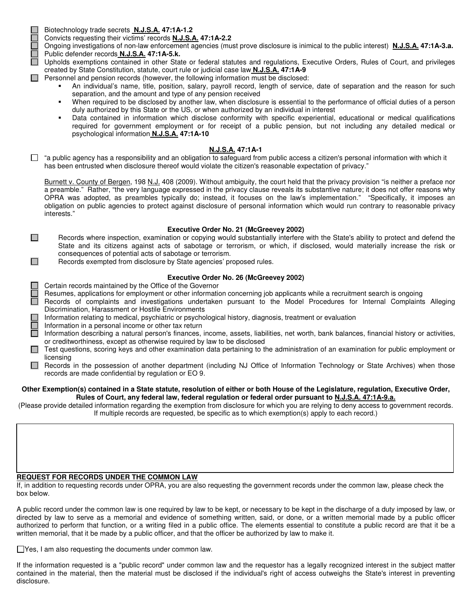$\Box$ 

 $\Box$ 

Biotechnology trade secrets **N.J.S.A. 47:1A-1.2**

Convicts requesting their victims' records **N.J.S.A. 47:1A-2.2**

Ongoing investigations of non-law enforcement agencies (must prove disclosure is inimical to the public interest) **N.J.S.A. 47:1A-3.a.** Public defender records **N.J.S.A. 47:1A-5.k.**

Upholds exemptions contained in other State or federal statutes and regulations, Executive Orders, Rules of Court, and privileges created by State Constitution, statute, court rule or judicial case law **N.J.S.A. 47:1A-9**

- $\Box$  Personnel and pension records (however, the following information must be disclosed:
	- An individual's name, title, position, salary, payroll record, length of service, date of separation and the reason for such separation, and the amount and type of any pension received
	- When required to be disclosed by another law, when disclosure is essential to the performance of official duties of a person duly authorized by this State or the US, or when authorized by an individual in interest
	- Data contained in information which disclose conformity with specific experiential, educational or medical qualifications required for government employment or for receipt of a public pension, but not including any detailed medical or psychological information **N.J.S.A. 47:1A-10**

#### **N.J.S.A. 47:1A-1**

 $\Box$  "a public agency has a responsibility and an obligation to safeguard from public access a citizen's personal information with which it has been entrusted when disclosure thereof would violate the citizen's reasonable expectation of privacy."

Burnett v. County of Bergen, 198 N.J. 408 (2009). Without ambiguity, the court held that the privacy provision "is neither a preface nor a preamble." Rather, "the very language expressed in the privacy clause reveals its substantive nature; it does not offer reasons why OPRA was adopted, as preambles typically do; instead, it focuses on the law's implementation." "Specifically, it imposes an obligation on public agencies to protect against disclosure of personal information which would run contrary to reasonable privacy interests."

#### **Executive Order No. 21 (McGreevey 2002)**

Records where inspection, examination or copying would substantially interfere with the State's ability to protect and defend the State and its citizens against acts of sabotage or terrorism, or which, if disclosed, would materially increase the risk or consequences of potential acts of sabotage or terrorism.

Records exempted from disclosure by State agencies' proposed rules.

#### **Executive Order No. 26 (McGreevey 2002)**

Certain records maintained by the Office of the Governor

Resumes, applications for employment or other information concerning job applicants while a recruitment search is ongoing

- Records of complaints and investigations undertaken pursuant to the Model Procedures for Internal Complaints Alleging Discrimination, Harassment or Hostile Environments
	- Information relating to medical, psychiatric or psychological history, diagnosis, treatment or evaluation

Information in a personal income or other tax return

Information describing a natural person's finances, income, assets, liabilities, net worth, bank balances, financial history or activities, or creditworthiness, except as otherwise required by law to be disclosed

- $\Box$  Test questions, scoring keys and other examination data pertaining to the administration of an examination for public employment or licensing
- Records in the possession of another department (including NJ Office of Information Technology or State Archives) when those records are made confidential by regulation or EO 9.

#### **Other Exemption(s) contained in a State statute, resolution of either or both House of the Legislature, regulation, Executive Order, Rules of Court, any federal law, federal regulation or federal order pursuant to N.J.S.A. 47:1A-9.a.**

(Please provide detailed information regarding the exemption from disclosure for which you are relying to deny access to government records. If multiple records are requested, be specific as to which exemption(s) apply to each record.)

#### **REQUEST FOR RECORDS UNDER THE COMMON LAW**

If, in addition to requesting records under OPRA, you are also requesting the government records under the common law, please check the box below.

A public record under the common law is one required by law to be kept, or necessary to be kept in the discharge of a duty imposed by law, or directed by law to serve as a memorial and evidence of something written, said, or done, or a written memorial made by a public officer authorized to perform that function, or a writing filed in a public office. The elements essential to constitute a public record are that it be a written memorial, that it be made by a public officer, and that the officer be authorized by law to make it.

Yes, I am also requesting the documents under common law.

If the information requested is a "public record" under common law and the requestor has a legally recognized interest in the subject matter contained in the material, then the material must be disclosed if the individual's right of access outweighs the State's interest in preventing disclosure.